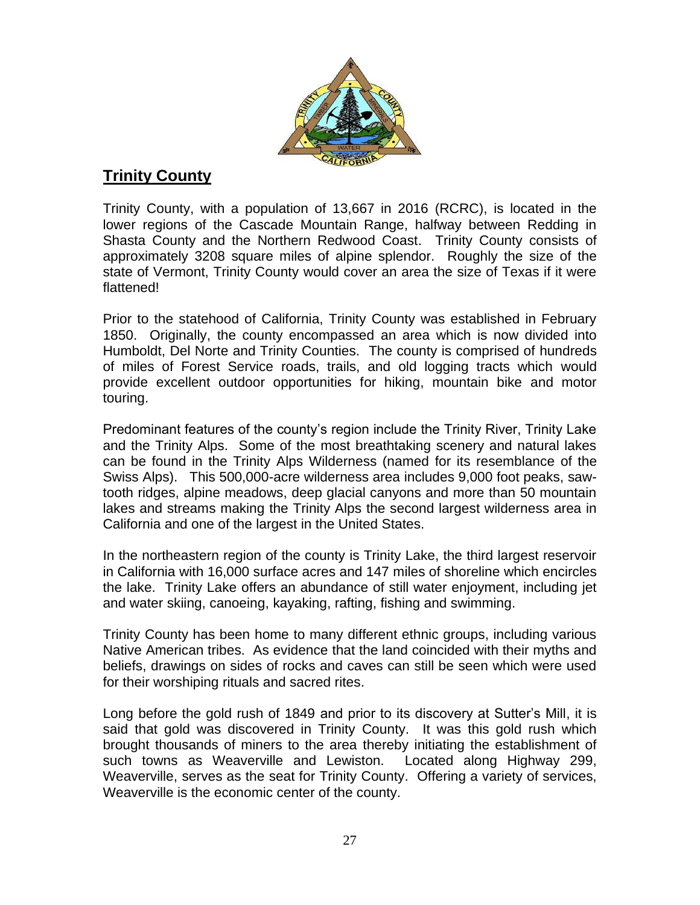

# **Trinity County**

Trinity County, with a population of 13,667 in 2016 (RCRC), is located in the lower regions of the Cascade Mountain Range, halfway between Redding in Shasta County and the Northern Redwood Coast. Trinity County consists of approximately 3208 square miles of alpine splendor. Roughly the size of the state of Vermont, Trinity County would cover an area the size of Texas if it were flattened!

Prior to the statehood of California, Trinity County was established in February 1850. Originally, the county encompassed an area which is now divided into Humboldt, Del Norte and Trinity Counties. The county is comprised of hundreds of miles of Forest Service roads, trails, and old logging tracts which would provide excellent outdoor opportunities for hiking, mountain bike and motor touring.

Predominant features of the county's region include the Trinity River, Trinity Lake and the Trinity Alps. Some of the most breathtaking scenery and natural lakes can be found in the Trinity Alps Wilderness (named for its resemblance of the Swiss Alps). This 500,000-acre wilderness area includes 9,000 foot peaks, sawtooth ridges, alpine meadows, deep glacial canyons and more than 50 mountain lakes and streams making the Trinity Alps the second largest wilderness area in California and one of the largest in the United States.

In the northeastern region of the county is Trinity Lake, the third largest reservoir in California with 16,000 surface acres and 147 miles of shoreline which encircles the lake. Trinity Lake offers an abundance of still water enjoyment, including jet and water skiing, canoeing, kayaking, rafting, fishing and swimming.

Trinity County has been home to many different ethnic groups, including various Native American tribes. As evidence that the land coincided with their myths and beliefs, drawings on sides of rocks and caves can still be seen which were used for their worshiping rituals and sacred rites.

Long before the gold rush of 1849 and prior to its discovery at Sutter's Mill, it is said that gold was discovered in Trinity County. It was this gold rush which brought thousands of miners to the area thereby initiating the establishment of such towns as Weaverville and Lewiston.Located along Highway 299, Weaverville, serves as the seat for Trinity County. Offering a variety of services, Weaverville is the economic center of the county.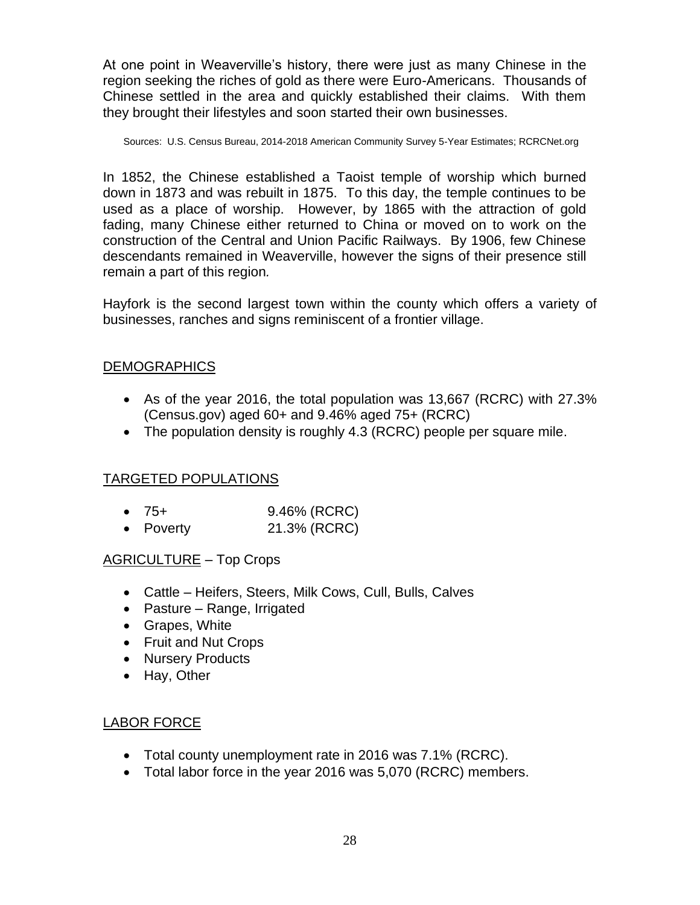At one point in Weaverville's history, there were just as many Chinese in the region seeking the riches of gold as there were Euro-Americans. Thousands of Chinese settled in the area and quickly established their claims. With them they brought their lifestyles and soon started their own businesses.

Sources: U.S. Census Bureau, 2014-2018 American Community Survey 5-Year Estimates; RCRCNet.org

In 1852, the Chinese established a Taoist temple of worship which burned down in 1873 and was rebuilt in 1875. To this day, the temple continues to be used as a place of worship. However, by 1865 with the attraction of gold fading, many Chinese either returned to China or moved on to work on the construction of the Central and Union Pacific Railways. By 1906, few Chinese descendants remained in Weaverville, however the signs of their presence still remain a part of this region*.*

Hayfork is the second largest town within the county which offers a variety of businesses, ranches and signs reminiscent of a frontier village.

# DEMOGRAPHICS

- As of the year 2016, the total population was 13,667 (RCRC) with 27.3% (Census.gov) aged 60+ and 9.46% aged 75+ (RCRC)
- The population density is roughly 4.3 (RCRC) people per square mile.

# TARGETED POPULATIONS

|  | - 75+ | 9.46% (RCRC) |
|--|-------|--------------|
|--|-------|--------------|

• Poverty 21.3% (RCRC)

#### AGRICULTURE – Top Crops

- Cattle Heifers, Steers, Milk Cows, Cull, Bulls, Calves
- Pasture Range, Irrigated
- Grapes, White
- Fruit and Nut Crops
- Nursery Products
- Hay, Other

#### LABOR FORCE

- Total county unemployment rate in 2016 was 7.1% (RCRC).
- Total labor force in the year 2016 was 5,070 (RCRC) members.